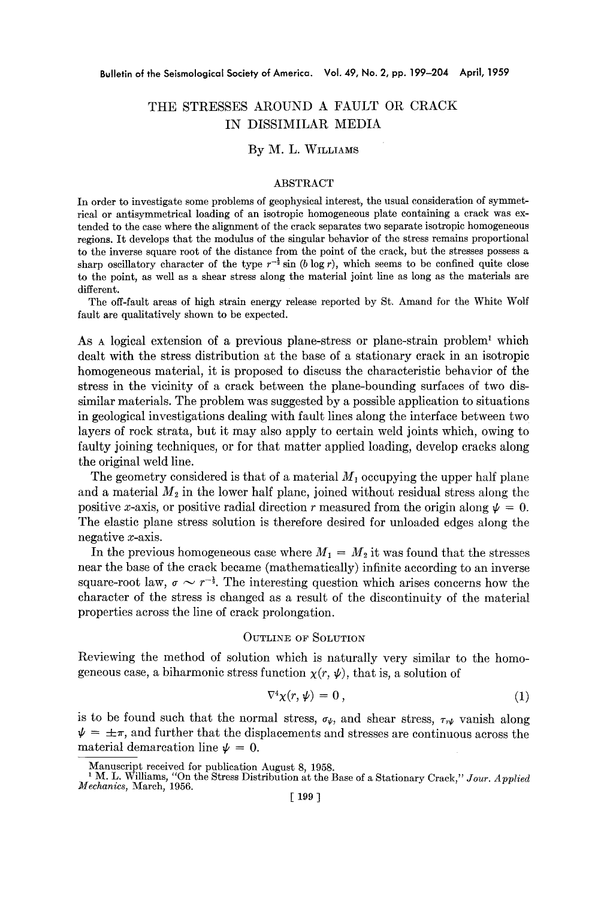# THE STRESSES AROUND A FAULT OR CRACK IN DISSIMILAR MEDIA

### By M. L. WILLIAMS

#### ABSTRACT

In order to investigate some problems of geophysical interest, the usual consideration of symmetrical or antisymmetrical loading of an isotropic homogeneous plate containing a crack was extended to the case where the alignment of the crack separates two separate isotropic homogeneous regions. It develops that the modulus of the singular behavior of the stress remains proportional to the inverse square root of the distance from the point of the crack, but the stresses possess a sharp oscillatory character of the type  $r^{-\frac{1}{2}}$  sin (b log r), which seems to be confined quite close to the point, as well as a shear stress along the material joint line as long as the materials are different.

The off-fault areas of high strain energy release reported by St. Amand for the White Wolf fault are qualitatively shown to be expected.

As  $\Lambda$  h logical extension of a previous plane-stress or plane-strain problem<sup>1</sup> which dealt with the stress distribution at the base of a stationary crack in an isotropic homogeneous material, it is proposed to discuss the characteristic behavior of the stress in the vicinity of a crack between the plane-bounding surfaces of two dissimilar materials. The problem was suggested by a possible application to situations in geological investigations dealing with fault lines along the interface between two layers of rock strata, but it may also apply to certain weld joints which, owing to faulty joining techniques, or for that matter applied loading, develop cracks along the original weld line.

The geometry considered is that of a material  $M_1$  occupying the upper half plane and a material  $M_2$  in the lower half plane, joined without residual stress along the positive x-axis, or positive radial direction r measured from the origin along  $\psi = 0$ . The elastic plane stress solution is therefore desired for unloaded edges along the negative x-axis.

In the previous homogeneous case where  $M_1 = M_2$  it was found that the stresses near the base of the crack became (mathematically) infinite according to an inverse square-root law,  $\sigma \sim r^{-\frac{1}{2}}$ . The interesting question which arises concerns how the character of the stress is changed as a result of the discontinuity of the material properties across the line of crack prolongation.

#### OUTLINE OF SOLUTION

Reviewing the method of solution which is naturally very similar to the homogeneous case, a biharmonic stress function  $\chi(r, \psi)$ , that is, a solution of

$$
\nabla^4 \chi(r, \psi) = 0, \qquad (1)
$$

is to be found such that the normal stress,  $\sigma_{\psi}$ , and shear stress,  $\tau_{r\psi}$  vanish along  $\psi = \pm \pi$ , and further that the displacements and stresses are continuous across the material demarcation line  $\psi = 0$ .

Manuscript received for publication August 8, 1958.

M. L. Williams, *"On* the Stress Distribution at the Base of a Stationary Crack," *Jour. Applied Mechanics,* March, 1956.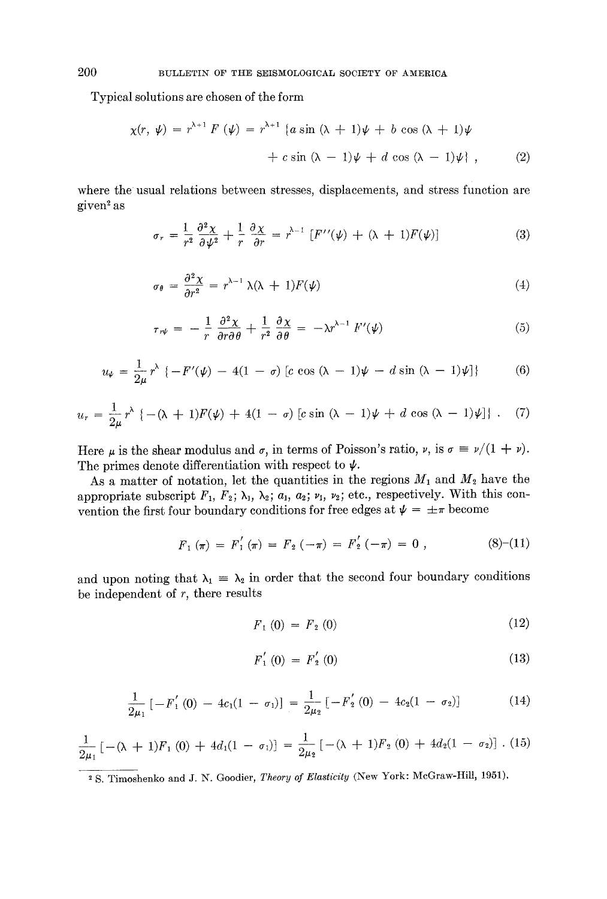Typical solutions are chosen of the form

$$
\chi(r, \psi) = r^{\lambda+1} F(\psi) = r^{\lambda+1} \left\{ a \sin (\lambda + 1) \psi + b \cos (\lambda + 1) \psi + c \sin (\lambda - 1) \psi + d \cos (\lambda - 1) \psi \right\},\tag{2}
$$

where the usual relations between stresses, displacements, and stress function are given<sup>2</sup> as

$$
\sigma_r = \frac{1}{r^2} \frac{\partial^2 \chi}{\partial \psi^2} + \frac{1}{r} \frac{\partial \chi}{\partial r} = r^{\lambda - 1} \left[ F^{\prime\prime}(\psi) + (\lambda + 1) F(\psi) \right] \tag{3}
$$

$$
\sigma_{\theta} = \frac{\partial^2 \chi}{\partial r^2} = r^{\lambda - 1} \lambda (\lambda + 1) F(\psi)
$$
 (4)

$$
\tau_{r\psi} = -\frac{1}{r} \frac{\partial^2 \chi}{\partial r \partial \theta} + \frac{1}{r^2} \frac{\partial \chi}{\partial \theta} = -\lambda r^{\lambda - 1} F'(\psi) \tag{5}
$$

$$
u_{\psi} = \frac{1}{2\mu} r^{\lambda} \left\{ -F'(\psi) - 4(1 - \sigma) \left[ c \cos (\lambda - 1) \psi - d \sin (\lambda - 1) \psi \right] \right\} \tag{6}
$$

$$
u_r = \frac{1}{2\mu}r^{\lambda} \left\{ -(\lambda + 1)F(\psi) + 4(1 - \sigma) \left[ c \sin (\lambda - 1)\psi + d \cos (\lambda - 1)\psi \right] \right\}.
$$
 (7)

Here  $\mu$  is the shear modulus and  $\sigma$ , in terms of Poisson's ratio,  $\nu$ , is  $\sigma = \nu/(1 + \nu)$ . The primes denote differentiation with respect to  $\psi$ .

As a matter of notation, let the quantities in the regions  $M_1$  and  $M_2$  have the appropriate subscript  $F_1$ ,  $F_2$ ;  $\lambda_1$ ,  $\lambda_2$ ;  $a_1$ ,  $a_2$ ;  $\nu_1$ ,  $\nu_2$ ; etc., respectively. With this convention the first four boundary conditions for free edges at  $\psi = \pm \pi$  become

$$
F_1(\pi) = F_1'(\pi) = F_2(-\pi) = F_2'(-\pi) = 0 , \qquad (8)-(11)
$$

and upon noting that  $\lambda_1 = \lambda_2$  in order that the second four boundary conditions be independent of  $r$ , there results

$$
F_1(0) = F_2(0) \tag{12}
$$

$$
F_1' (0) = F_2' (0) \tag{13}
$$

$$
\frac{1}{2\mu_1}\left[-F_1'(0)-4c_1(1-\sigma_1)\right]=\frac{1}{2\mu_2}\left[-F_2'(0)-4c_2(1-\sigma_2)\right]
$$
 (14)

$$
\frac{1}{2\mu_1}\left[ -(\lambda + 1)F_1(0) + 4d_1(1 - \sigma_1) \right] = \frac{1}{2\mu_2}\left[ -(\lambda + 1)F_2(0) + 4d_2(1 - \sigma_2) \right]. (15)
$$

<sup>2</sup> S. Timoshenko and J. N. Goodier, *Theory of Elasticity* (New York: McGraw-Hill, 1951).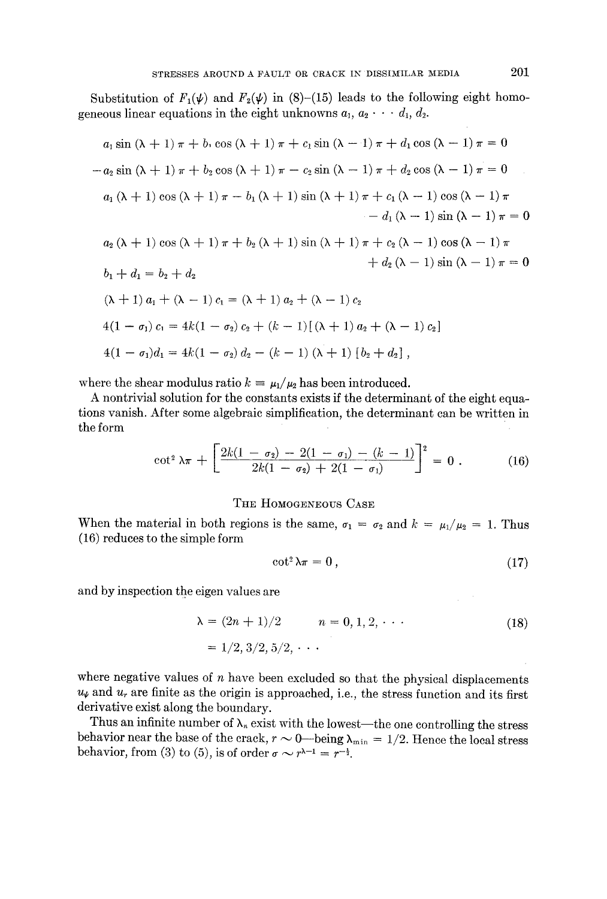Substitution of  $F_1(\psi)$  and  $F_2(\psi)$  in (8)-(15) leads to the following eight homogeneous linear equations in the eight unknowns  $a_1, a_2 \cdot \cdot \cdot d_1, d_2$ .

$$
a_1 \sin (\lambda + 1) \pi + b_1 \cos (\lambda + 1) \pi + c_1 \sin (\lambda - 1) \pi + d_1 \cos (\lambda - 1) \pi = 0
$$
  
\n
$$
-a_2 \sin (\lambda + 1) \pi + b_2 \cos (\lambda + 1) \pi - c_2 \sin (\lambda - 1) \pi + d_2 \cos (\lambda - 1) \pi = 0
$$
  
\n
$$
a_1 (\lambda + 1) \cos (\lambda + 1) \pi - b_1 (\lambda + 1) \sin (\lambda + 1) \pi + c_1 (\lambda - 1) \cos (\lambda - 1) \pi
$$
  
\n
$$
- d_1 (\lambda - 1) \sin (\lambda - 1) \pi = 0
$$
  
\n
$$
a_2 (\lambda + 1) \cos (\lambda + 1) \pi + b_2 (\lambda + 1) \sin (\lambda + 1) \pi + c_2 (\lambda - 1) \cos (\lambda - 1) \pi
$$
  
\n
$$
+ d_2 (\lambda - 1) \sin (\lambda - 1) \pi = 0
$$
  
\n
$$
b_1 + d_1 = b_2 + d_2
$$
  
\n
$$
(\lambda + 1) a_1 + (\lambda - 1) c_1 = (\lambda + 1) a_2 + (\lambda - 1) c_2
$$
  
\n
$$
4(1 - \sigma_1) c_1 = 4k(1 - \sigma_2) c_2 + (k - 1) [(\lambda + 1) a_2 + (\lambda - 1) c_2]
$$
  
\n
$$
4(1 - \sigma_1) d_1 = 4k(1 - \sigma_2) d_2 - (k - 1) (\lambda + 1) [b_2 + d_2],
$$

where the shear modulus ratio  $k = \mu_1/\mu_2$  has been introduced.

A nontrivial solution for the constants exists if the determinant of the eight equations vanish. After some algebraic simplification, the determinant can be written in the form

$$
\cot^2 \lambda \pi + \left[ \frac{2k(1-\sigma_2) - 2(1-\sigma_1) - (k-1)}{2k(1-\sigma_2) + 2(1-\sigma_1)} \right]^2 = 0 \ . \tag{16}
$$

#### THE HOMOGENEOUS CASE

When the material in both regions is the same,  $\sigma_1 = \sigma_2$  and  $k = \mu_1/\mu_2 = 1$ . Thus (16) reduces to the simple form

$$
\cot^2 \lambda \pi = 0 \,, \tag{17}
$$

and by inspection the eigen values are

$$
\lambda = (2n + 1)/2 \qquad n = 0, 1, 2, \cdots
$$
  
= 1/2, 3/2, 5/2, \cdots (18)

where negative values of  $n$  have been excluded so that the physical displacements  $u_{\ell}$  and  $u_{r}$  are finite as the origin is approached, i.e., the stress function and its first derivative exist along the boundary.

Thus an infinite number of  $\lambda_n$  exist with the lowest—the one controlling the stress behavior near the base of the crack,  $r \sim 0$  -being  $\lambda_{\min} = 1/2$ . Hence the local stress behavior, from (3) to (5), is of order  $\sigma \sim r^{\lambda - 1} = r^{-\frac{1}{2}}$ .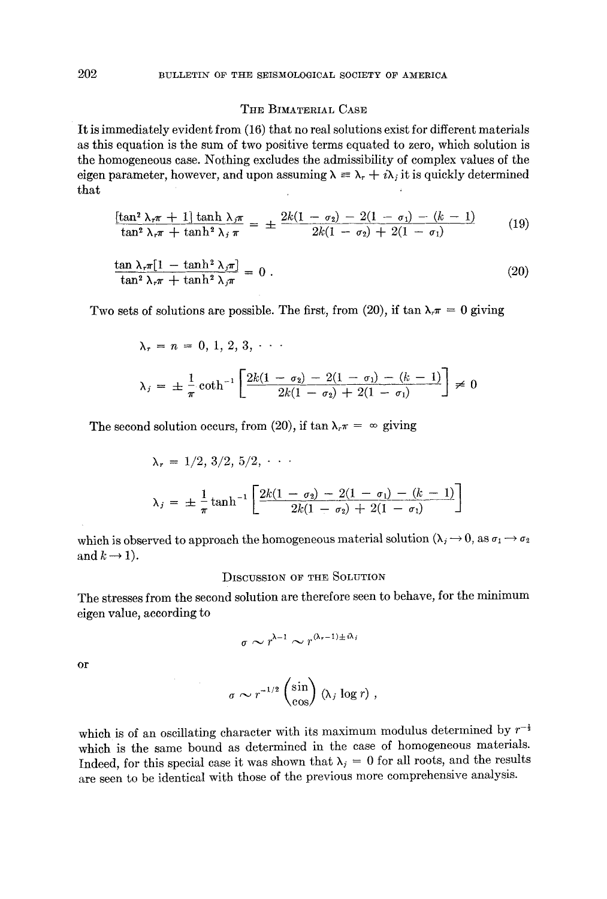### THE BIMATERIAL CASE

It is immediately evident from (16) that no real solutions exist for different materials as this equation is the sum of two positive terms equated to zero, which solution is the homogeneous case. Nothing excludes the admissibility of complex values of the eigen parameter, however, and upon assuming  $\lambda = \lambda_r + i\lambda_i$  it is quickly determined that

$$
\frac{\left[\tan^2 \lambda_r \pi + 1\right] \tanh \lambda_j \pi}{\tan^2 \lambda_r \pi + \tanh^2 \lambda_j \pi} = \pm \frac{2k(1 - \sigma_2) - 2(1 - \sigma_1) - (k - 1)}{2k(1 - \sigma_2) + 2(1 - \sigma_1)}\tag{19}
$$

$$
\frac{\tan \lambda_r \pi [1 - \tanh^2 \lambda_j \pi]}{\tan^2 \lambda_r \pi + \tanh^2 \lambda_j \pi} = 0.
$$
\n(20)

Two sets of solutions are possible. The first, from (20), if  $\tan \lambda_{\tau} = 0$  giving

$$
\lambda_r = n = 0, 1, 2, 3, \cdots
$$
  

$$
\lambda_j = \pm \frac{1}{\pi} \coth^{-1} \left[ \frac{2k(1 - \sigma_2) - 2(1 - \sigma_1) - (k - 1)}{2k(1 - \sigma_2) + 2(1 - \sigma_1)} \right] \neq 0
$$

The second solution occurs, from (20), if  $\tan \lambda_r \pi = \infty$  giving

$$
\lambda_r = 1/2, 3/2, 5/2, \cdots
$$
  

$$
\lambda_j = \pm \frac{1}{\pi} \tanh^{-1} \left[ \frac{2k(1-\sigma_2) - 2(1-\sigma_1) - (k-1)}{2k(1-\sigma_2) + 2(1-\sigma_1)} \right]
$$

which is observed to approach the homogeneous material solution  $(\lambda_i \rightarrow 0$ , as  $\sigma_1 \rightarrow \sigma_2$ and  $k \rightarrow 1$ ).

### DISCUSSION OF THE SOLUTION

The stresses from the second solution are therefore seen to behave, for the minimum eigen value, according to

$$
\sigma \sim r^{\lambda-1} \sim r^{(\lambda_{\tau}-1)\pm i\lambda_j}
$$

or

r\_~/~ / \{sin} (hi log *r),*  ~ \COS/

which is of an oscillating character with its maximum modulus determined by  $r^{-\frac{1}{2}}$ which is the same bound as determined in the case of homogeneous materials. Indeed, for this special case it was shown that  $\lambda_j = 0$  for all roots, and the results are seen to be identical with those of the previous more comprehensive analysis.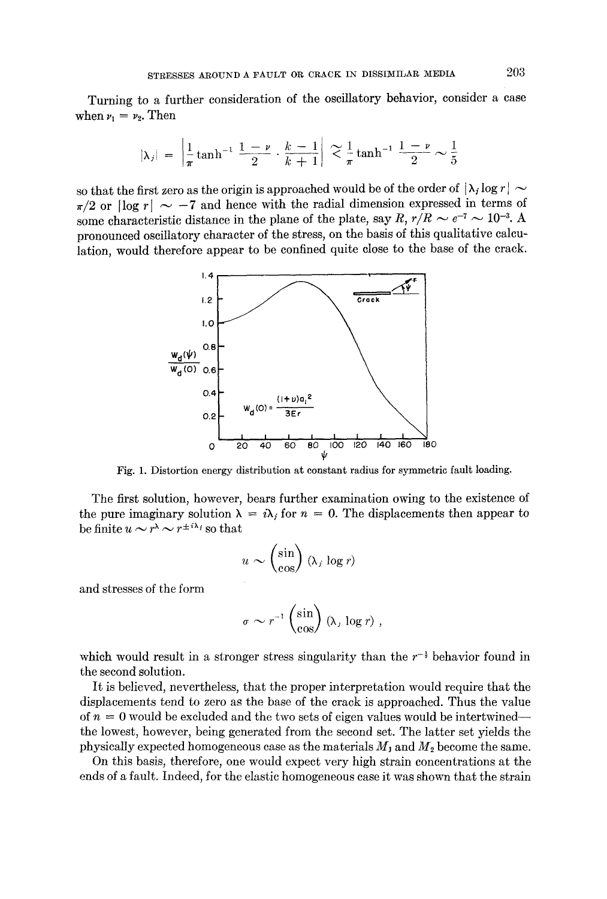Turning to a further consideration of the oscillatory behavior, consider a case when  $\nu_1 = \nu_2$ . Then

$$
|\lambda_j| = \left| \frac{1}{\pi} \tanh^{-1} \frac{1-\nu}{2} \cdot \frac{k-1}{k+1} \right| \approx \frac{1}{\pi} \tanh^{-1} \frac{1-\nu}{2} \sim \frac{1}{5}
$$

so that the first zero as the origin is approached would be of the order of  $|\lambda_i \log r| \sim$  $\pi/2$  or  $\log r$  ~ -7 and hence with the radial dimension expressed in terms of some characteristic distance in the plane of the plate, say *R*,  $r/R \sim e^{-7} \sim 10^{-3}$ . A pronounced oscillatory character of the stress, on the basis of this qualitative calculation, would therefore appear to be confined quite close to the base of the crack.



Fig. 1. Distortion energy distribution at constant radius for symmetric fault loading.

The first solution, however, bears further examination owing to the existence of the pure imaginary solution  $\lambda = i\lambda_j$  for  $n = 0$ . The displacements then appear to be finite  $u \sim r^{\lambda} \sim r^{\pm i \lambda_i}$  so that

$$
u \sim \begin{pmatrix} \sin \\ \cos \end{pmatrix} (\lambda_j \log r)
$$

and stresses of the form

$$
\sigma \sim r^{-1} \begin{pmatrix} \sin \\ \cos \end{pmatrix} (\lambda, \log r) ,
$$

which would result in a stronger stress singularity than the  $r^{-\frac{1}{2}}$  behavior found in the second solution.

It is believed, nevertheless, that the proper interpretation would require that the displacements tend to zero as the base of the *crack* is approached. Thus the value of  $n = 0$  would be excluded and the two sets of eigen values would be intertwinedthe lowest, however, being generated from the second set. The latter set yields the physically expected homogeneous case as the materials  $M_1$  and  $M_2$  become the same.

On this basis, therefore, one would expect very high strain concentrations at the ends of a fault. Indeed, for the elastic homogeneous case it was shown that the strain